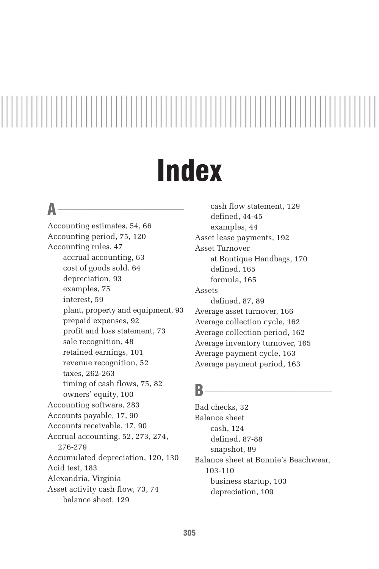# **Index**

### $\mathsf{A}$   $\overline{\phantom{a}}$

Accounting estimates, 54, 66 Accounting period, 75, 120 Accounting rules, 47 accrual accounting, 63 cost of goods sold. 64 depreciation, 93 examples, 75 interest, 59 plant, property and equipment, 93 prepaid expenses, 92 profit and loss statement, 73 sale recognition, 48 retained earnings, 101 revenue recognition, 52 taxes, 262-263 timing of cash flows, 75, 82 owners' equity, 100 Accounting software, 283 Accounts payable, 17, 90 Accounts receivable, 17, 90 Accrual accounting, 52, 273, 274, 276-279 Accumulated depreciation, 120, 130 Acid test, 183 Alexandria, Virginia Asset activity cash flow, 73, 74 balance sheet, 129

cash flow statement, 129 defined, 44-45 examples, 44 Asset lease payments, 192 Asset Turnover at Boutique Handbags, 170 defined, 165 formula, 165 Assets defined, 87, 89 Average asset turnover, 166 Average collection cycle, 162 Average collection period, 162 Average inventory turnover, 165 Average payment cycle, 163 Average payment period, 163

### $B$  and  $\overline{\phantom{a}}$

Bad checks, 32 Balance sheet cash, 124 defined, 87-88 snapshot, 89 Balance sheet at Bonnie's Beachwear, 103-110 business startup, 103 depreciation, 109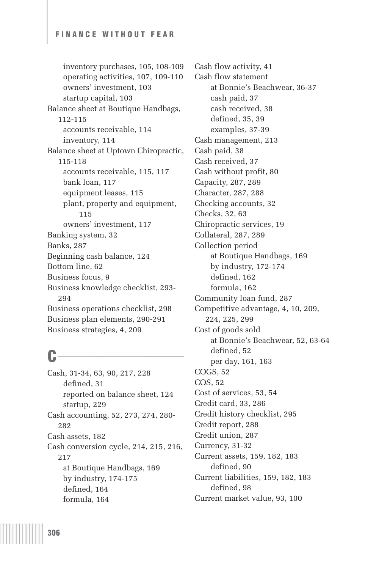inventory purchases, 105, 108-109 operating activities, 107, 109-110 owners' investment, 103 startup capital, 103 Balance sheet at Boutique Handbags, 112-115 accounts receivable, 114 inventory, 114 Balance sheet at Uptown Chiropractic, 115-118 accounts receivable, 115, 117 bank loan, 117 equipment leases, 115 plant, property and equipment, 115 owners' investment, 117 Banking system, 32 Banks, 287 Beginning cash balance, 124 Bottom line, 62 Business focus, 9 Business knowledge checklist, 293- 294 Business operations checklist, 298 Business plan elements, 290-291 Business strategies, 4, 209

### $c$   $\overline{\phantom{a}}$

Cash, 31-34, 63, 90, 217, 228 defined, 31 reported on balance sheet, 124 startup, 229 Cash accounting, 52, 273, 274, 280- 282 Cash assets, 182 Cash conversion cycle, 214, 215, 216, 217 at Boutique Handbags, 169 by industry, 174-175 defined, 164 formula, 164

Cash flow activity, 41 Cash flow statement at Bonnie's Beachwear, 36-37 cash paid, 37 cash received, 38 defined, 35, 39 examples, 37-39 Cash management, 213 Cash paid, 38 Cash received, 37 Cash without profit, 80 Capacity, 287, 289 Character, 287, 288 Checking accounts, 32 Checks, 32, 63 Chiropractic services, 19 Collateral, 287, 289 Collection period at Boutique Handbags, 169 by industry, 172-174 defined, 162 formula, 162 Community loan fund, 287 Competitive advantage, 4, 10, 209, 224, 225, 299 Cost of goods sold at Bonnie's Beachwear, 52, 63-64 defined, 52 per day, 161, 163 COGS, 52 COS, 52 Cost of services, 53, 54 Credit card, 33, 286 Credit history checklist, 295 Credit report, 288 Credit union, 287 Currency, 31-32 Current assets, 159, 182, 183 defined, 90 Current liabilities, 159, 182, 183 defined, 98 Current market value, 93, 100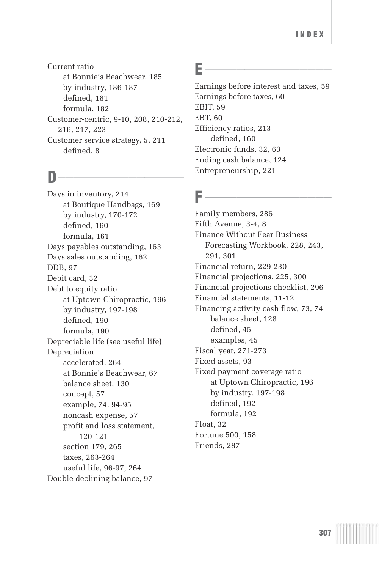Current ratio at Bonnie's Beachwear, 185 by industry, 186-187 defined, 181 formula, 182 Customer-centric, 9-10, 208, 210-212, 216, 217, 223 Customer service strategy, 5, 211 defined, 8

### $\mathbf{D}$  and  $\mathbf{D}$  and  $\mathbf{D}$

Days in inventory, 214 at Boutique Handbags, 169 by industry, 170-172 defined, 160 formula, 161 Days payables outstanding, 163 Days sales outstanding, 162 DDB, 97 Debit card, 32 Debt to equity ratio at Uptown Chiropractic, 196 by industry, 197-198 defined, 190 formula, 190 Depreciable life (see useful life) Depreciation accelerated, 264 at Bonnie's Beachwear, 67 balance sheet, 130 concept, 57 example, 74, 94-95 noncash expense, 57 profit and loss statement, 120-121 section 179, 265 taxes, 263-264 useful life, 96-97, 264 Double declining balance, 97

### $E$  and  $E$  and  $E$  and  $E$  and  $E$  and  $E$  and  $E$  and  $E$  and  $E$  and  $E$  and  $E$  and  $E$  and  $E$  and  $E$  and  $E$  and  $E$  and  $E$  and  $E$  and  $E$  and  $E$  and  $E$  and  $E$  and  $E$  and  $E$  and  $E$  and  $E$  and  $E$  and  $E$  a

Earnings before interest and taxes, 59 Earnings before taxes, 60 EBIT, 59 EBT, 60 Efficiency ratios, 213 defined, 160 Electronic funds, 32, 63 Ending cash balance, 124 Entrepreneurship, 221

### $F \longrightarrow$

Family members, 286 Fifth Avenue, 3-4, 8 Finance Without Fear Business Forecasting Workbook, 228, 243, 291, 301 Financial return, 229-230 Financial projections, 225, 300 Financial projections checklist, 296 Financial statements, 11-12 Financing activity cash flow, 73, 74 balance sheet, 128 defined, 45 examples, 45 Fiscal year, 271-273 Fixed assets, 93 Fixed payment coverage ratio at Uptown Chiropractic, 196 by industry, 197-198 defined, 192 formula, 192 Float, 32 Fortune 500, 158 Friends, 287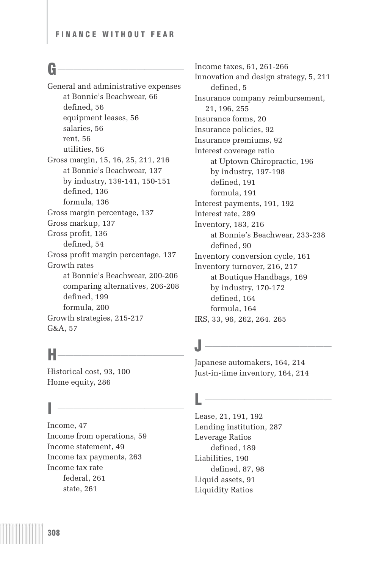### $\mathbf{G}$  and  $\mathbf{G}$  and  $\mathbf{G}$

General and administrative expenses at Bonnie's Beachwear, 66 defined, 56 equipment leases, 56 salaries, 56 rent, 56 utilities, 56 Gross margin, 15, 16, 25, 211, 216 at Bonnie's Beachwear, 137 by industry, 139-141, 150-151 defined, 136 formula, 136 Gross margin percentage, 137 Gross markup, 137 Gross profit, 136 defined, 54 Gross profit margin percentage, 137 Growth rates at Bonnie's Beachwear, 200-206 comparing alternatives, 206-208 defined, 199 formula, 200 Growth strategies, 215-217 G&A, 57

### $H$  and the set of  $H$  and  $H$  and  $H$  and  $H$  and  $H$  and  $H$  and  $H$  and  $H$  and  $H$

Historical cost, 93, 100 Home equity, 286

### $\overline{a}$

Income, 47 Income from operations, 59 Income statement, 49 Income tax payments, 263 Income tax rate federal, 261 state, 261

Income taxes, 61, 261-266 Innovation and design strategy, 5, 211 defined, 5 Insurance company reimbursement, 21, 196, 255 Insurance forms, 20 Insurance policies, 92 Insurance premiums, 92 Interest coverage ratio at Uptown Chiropractic, 196 by industry, 197-198 defined, 191 formula, 191 Interest payments, 191, 192 Interest rate, 289 Inventory, 183, 216 at Bonnie's Beachwear, 233-238 defined, 90 Inventory conversion cycle, 161 Inventory turnover, 216, 217 at Boutique Handbags, 169 by industry, 170-172 defined, 164 formula, 164 IRS, 33, 96, 262, 264. 265

## J \_\_\_\_\_\_\_\_\_\_\_\_\_\_\_\_

Japanese automakers, 164, 214 Just-in-time inventory, 164, 214

### $L \longrightarrow \longrightarrow \longrightarrow \longrightarrow$

Lease, 21, 191, 192 Lending institution, 287 Leverage Ratios defined, 189 Liabilities, 190 defined, 87, 98 Liquid assets, 91 Liquidity Ratios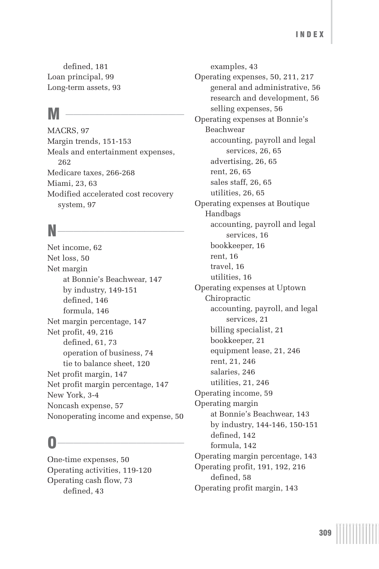defined, 181 Loan principal, 99 Long-term assets, 93

### $M \fbox{$\xrightarrow{~~}}$

MACRS, 97 Margin trends, 151-153 Meals and entertainment expenses, 262 Medicare taxes, 266-268 Miami, 23, 63 Modified accelerated cost recovery system, 97

### $N$   $\overline{\phantom{a}}$

Net income, 62 Net loss, 50 Net margin at Bonnie's Beachwear, 147 by industry, 149-151 defined, 146 formula, 146 Net margin percentage, 147 Net profit, 49, 216 defined, 61, 73 operation of business, 74 tie to balance sheet, 120 Net profit margin, 147 Net profit margin percentage, 147 New York, 3-4 Noncash expense, 57 Nonoperating income and expense, 50

### $\overline{\mathbf{0}}$   $\overline{\mathbf{0}}$   $\overline{\mathbf{0}}$   $\overline{\mathbf{0}}$

One-time expenses, 50 Operating activities, 119-120 Operating cash flow, 73 defined, 43

examples, 43 Operating expenses, 50, 211, 217 general and administrative, 56 research and development, 56 selling expenses, 56 Operating expenses at Bonnie's Beachwear accounting, payroll and legal services, 26, 65 advertising, 26, 65 rent, 26, 65 sales staff, 26, 65 utilities, 26, 65 Operating expenses at Boutique Handbags accounting, payroll and legal services, 16 bookkeeper, 16 rent, 16 travel, 16 utilities, 16 Operating expenses at Uptown Chiropractic accounting, payroll, and legal services, 21 billing specialist, 21 bookkeeper, 21 equipment lease, 21, 246 rent, 21, 246 salaries, 246 utilities, 21, 246 Operating income, 59 Operating margin at Bonnie's Beachwear, 143 by industry, 144-146, 150-151 defined, 142 formula, 142 Operating margin percentage, 143 Operating profit, 191, 192, 216 defined, 58 Operating profit margin, 143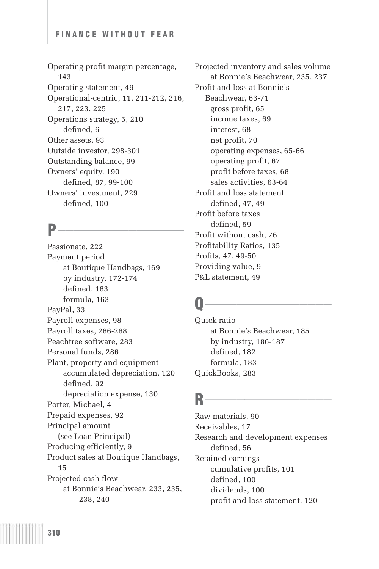Operating profit margin percentage, 143 Operating statement, 49 Operational-centric, 11, 211-212, 216, 217, 223, 225 Operations strategy, 5, 210 defined, 6 Other assets, 93 Outside investor, 298-301 Outstanding balance, 99 Owners' equity, 190 defined, 87, 99-100 Owners' investment, 229 defined, 100

### **P\_\_\_\_\_\_\_\_\_\_\_\_\_\_\_\_**

Passionate, 222 Payment period at Boutique Handbags, 169 by industry, 172-174 defined, 163 formula, 163 PayPal, 33 Payroll expenses, 98 Payroll taxes, 266-268 Peachtree software, 283 Personal funds, 286 Plant, property and equipment accumulated depreciation, 120 defined, 92 depreciation expense, 130 Porter, Michael, 4 Prepaid expenses, 92 Principal amount (see Loan Principal) Producing efficiently, 9 Product sales at Boutique Handbags, 15 Projected cash flow at Bonnie's Beachwear, 233, 235, 238, 240

Projected inventory and sales volume at Bonnie's Beachwear, 235, 237 Profit and loss at Bonnie's Beachwear, 63-71 gross profit, 65 income taxes, 69 interest, 68 net profit, 70 operating expenses, 65-66 operating profit, 67 profit before taxes, 68 sales activities, 63-64 Profit and loss statement defined, 47, 49 Profit before taxes defined, 59 Profit without cash, 76 Profitability Ratios, 135 Profits, 47, 49-50 Providing value, 9 P&L statement, 49

### $\mathbf{Q}$  and  $\mathbf{Q}$  and  $\mathbf{Q}$  and  $\mathbf{Q}$  and  $\mathbf{Q}$  are  $\mathbf{Q}$  and  $\mathbf{Q}$  and  $\mathbf{Q}$  are  $\mathbf{Q}$  and  $\mathbf{Q}$  and  $\mathbf{Q}$  are  $\mathbf{Q}$  and  $\mathbf{Q}$  are  $\mathbf{Q}$  and  $\mathbf{Q}$  and  $\mathbf{Q}$  are  $\mathbf{Q}$  and

Quick ratio at Bonnie's Beachwear, 185 by industry, 186-187 defined, 182 formula, 183 QuickBooks, 283

### $R$  and  $\overline{\phantom{a}R}$

Raw materials, 90 Receivables, 17 Research and development expenses defined, 56 Retained earnings cumulative profits, 101 defined, 100 dividends, 100 profit and loss statement, 120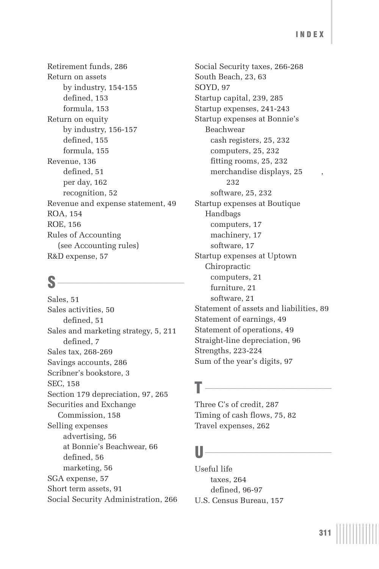Retirement funds, 286 Return on assets by industry, 154-155 defined, 153 formula, 153 Return on equity by industry, 156-157 defined, 155 formula, 155 Revenue, 136 defined, 51 per day, 162 recognition, 52 Revenue and expense statement, 49 ROA, 154 ROE, 156 Rules of Accounting (see Accounting rules) R&D expense, 57

### $s$   $\overline{\phantom{a}}$

Sales, 51 Sales activities, 50 defined, 51 Sales and marketing strategy, 5, 211 defined, 7 Sales tax, 268-269 Savings accounts, 286 Scribner's bookstore, 3 SEC, 158 Section 179 depreciation, 97, 265 Securities and Exchange Commission, 158 Selling expenses advertising, 56 at Bonnie's Beachwear, 66 defined, 56 marketing, 56 SGA expense, 57 Short term assets, 91 Social Security Administration, 266 Social Security taxes, 266-268 South Beach, 23, 63 SOYD, 97 Startup capital, 239, 285 Startup expenses, 241-243 Startup expenses at Bonnie's Beachwear cash registers, 25, 232 computers, 25, 232 fitting rooms, 25, 232 merchandise displays, 25 232 software, 25, 232 Startup expenses at Boutique Handbags computers, 17 machinery, 17 software, 17 Startup expenses at Uptown Chiropractic computers, 21 furniture, 21 software, 21 Statement of assets and liabilities, 89 Statement of earnings, 49 Statement of operations, 49 Straight-line depreciation, 96 Strengths, 223-224 Sum of the year's digits, 97

### $\mathbf{I}$   $\overline{\phantom{a}}$

Three C's of credit, 287 Timing of cash flows, 75, 82 Travel expenses, 262

### $\mathsf{U}$  and the set of  $\mathsf{U}$

Useful life taxes, 264 defined, 96-97 U.S. Census Bureau, 157